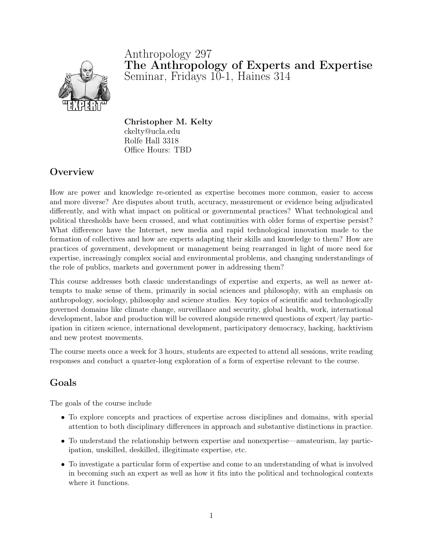

Anthropology 297 The Anthropology of Experts and Expertise Seminar, Fridays 10-1, Haines 314

Christopher M. Kelty ckelty@ucla.edu Rolfe Hall 3318 Office Hours: TBD

# **Overview**

How are power and knowledge re-oriented as expertise becomes more common, easier to access and more diverse? Are disputes about truth, accuracy, measurement or evidence being adjudicated differently, and with what impact on political or governmental practices? What technological and political thresholds have been crossed, and what continuities with older forms of expertise persist? What difference have the Internet, new media and rapid technological innovation made to the formation of collectives and how are experts adapting their skills and knowledge to them? How are practices of government, development or management being rearranged in light of more need for expertise, increasingly complex social and environmental problems, and changing understandings of the role of publics, markets and government power in addressing them?

This course addresses both classic understandings of expertise and experts, as well as newer attempts to make sense of them, primarily in social sciences and philosophy, with an emphasis on anthropology, sociology, philosophy and science studies. Key topics of scientific and technologically governed domains like climate change, surveillance and security, global health, work, international development, labor and production will be covered alongside renewed questions of expert/lay participation in citizen science, international development, participatory democracy, hacking, hacktivism and new protest movements.

The course meets once a week for 3 hours, students are expected to attend all sessions, write reading responses and conduct a quarter-long exploration of a form of expertise relevant to the course.

# Goals

The goals of the course include

- To explore concepts and practices of expertise across disciplines and domains, with special attention to both disciplinary differences in approach and substantive distinctions in practice.
- To understand the relationship between expertise and nonexpertise—amateurism, lay participation, unskilled, deskilled, illegitimate expertise, etc.
- To investigate a particular form of expertise and come to an understanding of what is involved in becoming such an expert as well as how it fits into the political and technological contexts where it functions.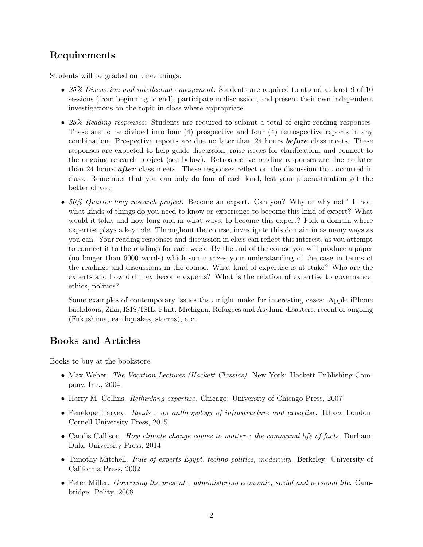## Requirements

Students will be graded on three things:

- 25% Discussion and intellectual engagement: Students are required to attend at least 9 of 10 sessions (from beginning to end), participate in discussion, and present their own independent investigations on the topic in class where appropriate.
- 25% Reading responses: Students are required to submit a total of eight reading responses. These are to be divided into four (4) prospective and four (4) retrospective reports in any combination. Prospective reports are due no later than 24 hours **before** class meets. These responses are expected to help guide discussion, raise issues for clarification, and connect to the ongoing research project (see below). Retrospective reading responses are due no later than 24 hours **after** class meets. These responses reflect on the discussion that occurred in class. Remember that you can only do four of each kind, lest your procrastination get the better of you.
- 50% Quarter long research project: Become an expert. Can you? Why or why not? If not, what kinds of things do you need to know or experience to become this kind of expert? What would it take, and how long and in what ways, to become this expert? Pick a domain where expertise plays a key role. Throughout the course, investigate this domain in as many ways as you can. Your reading responses and discussion in class can reflect this interest, as you attempt to connect it to the readings for each week. By the end of the course you will produce a paper (no longer than 6000 words) which summarizes your understanding of the case in terms of the readings and discussions in the course. What kind of expertise is at stake? Who are the experts and how did they become experts? What is the relation of expertise to governance, ethics, politics?

Some examples of contemporary issues that might make for interesting cases: Apple iPhone backdoors, Zika, ISIS/ISIL, Flint, Michigan, Refugees and Asylum, disasters, recent or ongoing (Fukushima, earthquakes, storms), etc..

## Books and Articles

Books to buy at the bookstore:

- Max Weber. The Vocation Lectures (Hackett Classics). New York: Hackett Publishing Company, Inc., 2004
- Harry M. Collins. Rethinking expertise. Chicago: University of Chicago Press, 2007
- Penelope Harvey. Roads: an anthropology of infrastructure and expertise. Ithaca London: Cornell University Press, 2015
- Candis Callison. How climate change comes to matter : the communal life of facts. Durham: Duke University Press, 2014
- Timothy Mitchell. Rule of experts Egypt, techno-politics, modernity. Berkeley: University of California Press, 2002
- Peter Miller. Governing the present : administering economic, social and personal life. Cambridge: Polity, 2008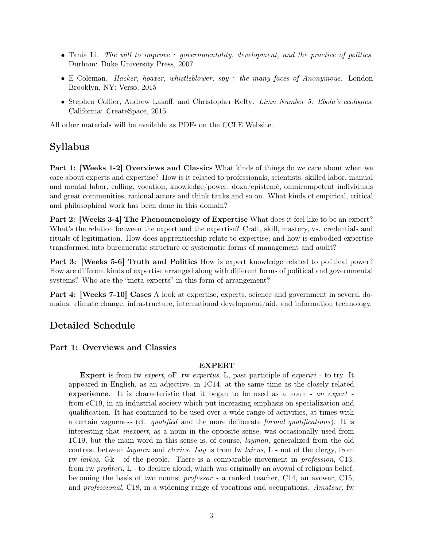- Tania Li. The will to improve : governmentality, development, and the practice of politics. Durham: Duke University Press, 2007
- E Coleman. *Hacker*, *hoaxer*, *whistleblower*, *spy*: *the many faces of Anonymous.* London Brooklyn, NY: Verso, 2015
- Stephen Collier, Andrew Lakoff, and Christopher Kelty. *Limn Number 5: Ebola's ecologies.* California: CreateSpace, 2015

All other materials will be available as PDFs on the CCLE Website.

## Syllabus

Part 1: [Weeks 1-2] Overviews and Classics What kinds of things do we care about when we care about experts and expertise? How is it related to professionals, scientists, skilled labor, manual and mental labor, calling, vocation, knowledge/power, doxa/epistemé, omnicompetent individuals and great communities, rational actors and think tanks and so on. What kinds of empirical, critical and philosophical work has been done in this domain?

Part 2: [Weeks 3-4] The Phenomenology of Expertise What does it feel like to be an expert? What's the relation between the expert and the expertise? Craft, skill, mastery, vs. credentials and rituals of legitimation. How does apprenticeship relate to expertise, and how is embodied expertise transformed into bureaucratic structure or systematic forms of management and audit?

Part 3: [Weeks 5-6] Truth and Politics How is expert knowledge related to political power? How are different kinds of expertise arranged along with different forms of political and governmental systems? Who are the "meta-experts" in this form of arrangement?

Part 4: [Weeks 7-10] Cases A look at expertise, experts, science and government in several domains: climate change, infrastructure, international development/aid, and information technology.

## Detailed Schedule

#### Part 1: Overviews and Classics

#### EXPERT

Expert is from fw expert, oF, rw expertus, L, past participle of experiri - to try. It appeared in English, as an adjective, in 1C14, at the same time as the closely related experience. It is characteristic that it began to be used as a noun - an expert from eC19, in an industrial society which put increasing emphasis on specialization and qualification. It has continued to be used over a wide range of activities, at times with a certain vagueness (cf. qualified and the more deliberate formal qualifications). It is interesting that inexpert, as a noun in the opposite sense, was occasionally used from 1C19, but the main word in this sense is, of course, layman, generalized from the old contrast between laymen and clerics. Lay is from fw laicus, L - not of the clergy, from rw laikos, Gk - of the people. There is a comparable movement in profession, C13, from rw profiteri, L - to declare aloud, which was originally an avowal of religious belief, becoming the basis of two nouns; professor - a ranked teacher, C14, an avower, C15; and professional, C18, in a widening range of vocations and occupations. Amateur, fw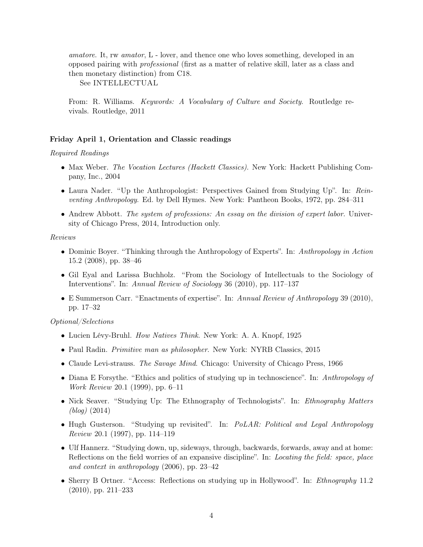amatore. It, rw amator, L - lover, and thence one who loves something, developed in an opposed pairing with professional (first as a matter of relative skill, later as a class and then monetary distinction) from C18.

See INTELLECTUAL

From: R. Williams. Keywords: A Vocabulary of Culture and Society. Routledge revivals. Routledge, 2011

#### Friday April 1, Orientation and Classic readings

#### Required Readings

- Max Weber. The Vocation Lectures (Hackett Classics). New York: Hackett Publishing Company, Inc., 2004
- Laura Nader. "Up the Anthropologist: Perspectives Gained from Studying Up". In: Reinventing Anthropology. Ed. by Dell Hymes. New York: Pantheon Books, 1972, pp. 284–311
- Andrew Abbott. The system of professions: An essay on the division of expert labor. University of Chicago Press, 2014, Introduction only.

#### Reviews

- Dominic Boyer. "Thinking through the Anthropology of Experts". In: Anthropology in Action 15.2 (2008), pp. 38–46
- Gil Eyal and Larissa Buchholz. "From the Sociology of Intellectuals to the Sociology of Interventions". In: Annual Review of Sociology 36 (2010), pp. 117–137
- E Summerson Carr. "Enactments of expertise". In: Annual Review of Anthropology 39 (2010), pp. 17–32

#### Optional/Selections

- Lucien Lévy-Bruhl. How Natives Think. New York: A. A. Knopf, 1925
- Paul Radin. *Primitive man as philosopher*. New York: NYRB Classics, 2015
- Claude Levi-strauss. The Savage Mind. Chicago: University of Chicago Press, 1966
- Diana E Forsythe. "Ethics and politics of studying up in technoscience". In: Anthropology of Work Review 20.1 (1999), pp. 6–11
- Nick Seaver. "Studying Up: The Ethnography of Technologists". In: Ethnography Matters (blog) (2014)
- Hugh Gusterson. "Studying up revisited". In: PoLAR: Political and Legal Anthropology Review 20.1 (1997), pp. 114–119
- Ulf Hannerz. "Studying down, up, sideways, through, backwards, forwards, away and at home: Reflections on the field worries of an expansive discipline". In: *Locating the field: space, place* and context in anthropology (2006), pp. 23–42
- Sherry B Ortner. "Access: Reflections on studying up in Hollywood". In: *Ethnography* 11.2 (2010), pp. 211–233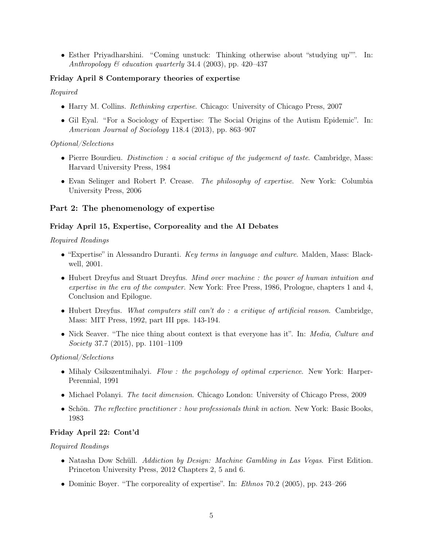• Esther Priyadharshini. "Coming unstuck: Thinking otherwise about "studying up"". In: Anthropology & education quarterly 34.4 (2003), pp. 420–437

## Friday April 8 Contemporary theories of expertise

Required

- Harry M. Collins. Rethinking expertise. Chicago: University of Chicago Press, 2007
- Gil Eyal. "For a Sociology of Expertise: The Social Origins of the Autism Epidemic". In: American Journal of Sociology 118.4 (2013), pp. 863–907

## Optional/Selections

- Pierre Bourdieu. *Distinction : a social critique of the judgement of taste*. Cambridge, Mass: Harvard University Press, 1984
- Evan Selinger and Robert P. Crease. The philosophy of expertise. New York: Columbia University Press, 2006

## Part 2: The phenomenology of expertise

## Friday April 15, Expertise, Corporeality and the AI Debates

Required Readings

- "Expertise" in Alessandro Duranti. *Key terms in language and culture*. Malden, Mass: Blackwell, 2001.
- Hubert Dreyfus and Stuart Dreyfus. *Mind over machine : the power of human intuition and* expertise in the era of the computer. New York: Free Press, 1986, Prologue, chapters 1 and 4, Conclusion and Epilogue.
- Hubert Dreyfus. What computers still can't do : a critique of artificial reason. Cambridge, Mass: MIT Press, 1992, part III pps. 143-194.
- Nick Seaver. "The nice thing about context is that everyone has it". In: Media, Culture and Society 37.7 (2015), pp. 1101–1109

Optional/Selections

- Mihaly Csikszentmihalyi. Flow: the psychology of optimal experience. New York: Harper-Perennial, 1991
- Michael Polanyi. The tacit dimension. Chicago London: University of Chicago Press, 2009
- Schön. The reflective practitioner : how professionals think in action. New York: Basic Books, 1983

## Friday April 22: Cont'd

Required Readings

- Natasha Dow Schüll. Addiction by Design: Machine Gambling in Las Vegas. First Edition. Princeton University Press, 2012 Chapters 2, 5 and 6.
- Dominic Boyer. "The corporeality of expertise". In: *Ethnos* 70.2 (2005), pp. 243–266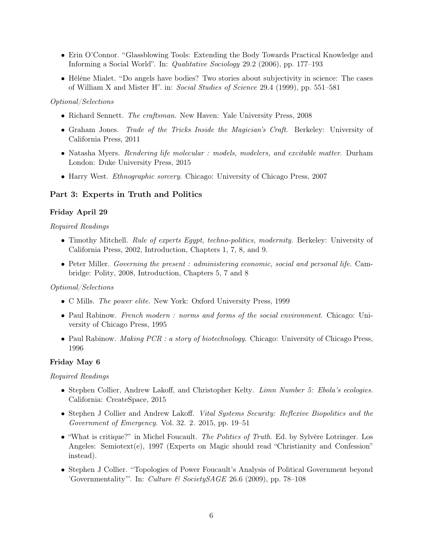- Erin O'Connor. "Glassblowing Tools: Extending the Body Towards Practical Knowledge and Informing a Social World". In: Qualitative Sociology 29.2 (2006), pp. 177–193
- Hélène Mialet. "Do angels have bodies? Two stories about subjectivity in science: The cases of William X and Mister H". in: Social Studies of Science 29.4 (1999), pp. 551–581

#### Optional/Selections

- Richard Sennett. The craftsman. New Haven: Yale University Press, 2008
- Graham Jones. Trade of the Tricks Inside the Magician's Craft. Berkeley: University of California Press, 2011
- Natasha Myers. Rendering life molecular : models, modelers, and excitable matter. Durham London: Duke University Press, 2015
- Harry West. *Ethnographic sorcery*. Chicago: University of Chicago Press, 2007

## Part 3: Experts in Truth and Politics

#### Friday April 29

#### Required Readings

- Timothy Mitchell. Rule of experts Equpt, techno-politics, modernity. Berkeley: University of California Press, 2002, Introduction, Chapters 1, 7, 8, and 9.
- Peter Miller. Governing the present : administering economic, social and personal life. Cambridge: Polity, 2008, Introduction, Chapters 5, 7 and 8

#### Optional/Selections

- C Mills. The power elite. New York: Oxford University Press, 1999
- Paul Rabinow. French modern : norms and forms of the social environment. Chicago: University of Chicago Press, 1995
- Paul Rabinow. *Making PCR : a story of biotechnology*. Chicago: University of Chicago Press, 1996

#### Friday May 6

#### Required Readings

- Stephen Collier, Andrew Lakoff, and Christopher Kelty. *Limn Number 5: Ebola's ecologies.* California: CreateSpace, 2015
- Stephen J Collier and Andrew Lakoff. *Vital Systems Security: Reflexive Biopolitics and the* Government of Emergency. Vol. 32. 2. 2015, pp. 19–51
- "What is critique?" in Michel Foucault. The Politics of Truth. Ed. by Sylvère Lotringer. Los Angeles: Semiotext(e), 1997 (Experts on Magic should read "Christianity and Confession" instead).
- Stephen J Collier. "Topologies of Power Foucault's Analysis of Political Government beyond 'Governmentality'''. In: *Culture & SocietySAGE* 26.6 (2009), pp. 78–108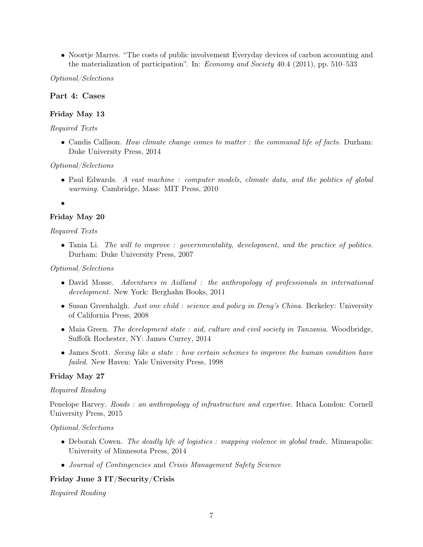• Noortje Marres. "The costs of public involvement Everyday devices of carbon accounting and the materialization of participation". In: *Economy and Society* 40.4 (2011), pp. 510–533

#### Optional/Selections

## Part 4: Cases

## Friday May 13

## Required Texts

• Candis Callison. How climate change comes to matter : the communal life of facts. Durham: Duke University Press, 2014

## Optional/Selections

• Paul Edwards. A vast machine: computer models, climate data, and the politics of global warming. Cambridge, Mass: MIT Press, 2010

•

## Friday May 20

## Required Texts

• Tania Li. The will to improve : governmentality, development, and the practice of politics. Durham: Duke University Press, 2007

## Optional/Selections

- David Mosse. Adventures in Aidland : the anthropology of professionals in international development. New York: Berghahn Books, 2011
- Susan Greenhalgh. Just one child : science and policy in Deng's China. Berkeley: University of California Press, 2008
- Maia Green. The development state : aid, culture and civil society in Tanzania. Woodbridge, Suffolk Rochester, NY: James Currey, 2014
- James Scott. Seeing like a state : how certain schemes to improve the human condition have failed. New Haven: Yale University Press, 1998

## Friday May 27

#### Required Reading

Penelope Harvey. Roads : an anthropology of infrastructure and expertise. Ithaca London: Cornell University Press, 2015

#### Optional/Selections

- Deborah Cowen. The deadly life of logistics : mapping violence in global trade. Minneapolis: University of Minnesota Press, 2014
- Journal of Contingencies and Crisis Management Safety Science

## Friday June 3 IT/Security/Crisis

#### Required Reading